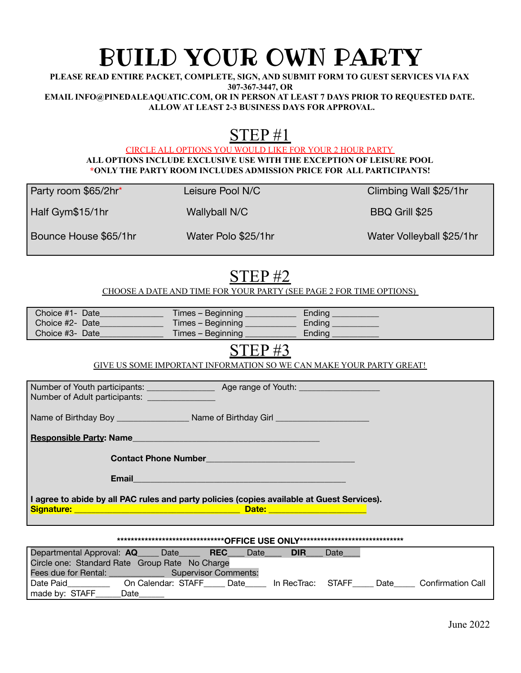# BUILD YOUR OWN PARTY

**PLEASE READ ENTIRE PACKET, COMPLETE, SIGN, AND SUBMIT FORM TO GUEST SERVICES VIA FAX 307-367-3447, OR EMAIL INFO@PINEDALEAQUATIC.COM, OR IN PERSON AT LEAST 7 DAYS PRIOR TO REQUESTED DATE. ALLOW AT LEAST 2-3 BUSINESS DAYS FOR APPROVAL.**

## STEP #1

CIRCLE ALL OPTIONS YOU WOULD LIKE FOR YOUR 2 HOUR PARTY **ALL OPTIONS INCLUDE EXCLUSIVE USE WITH THE EXCEPTION OF LEISURE POOL \*ONLY THE PARTY ROOM INCLUDES ADMISSION PRICE FOR ALL PARTICIPANTS!**

Party room \$65/2hr\* Leisure Pool N/C Climbing Wall \$25/1hr

Half Gym\$15/1hr Wallyball N/C BBQ Grill \$25

Bounce House \$65/1hr Water Polo \$25/1hr Water Water Volleyball \$25/1hr

### STEP #2

CHOOSE A DATE AND TIME FOR YOUR PARTY (SEE PAGE 2 FOR TIME OPTIONS)

| Choice #1- Date | Times – Beginning j | Ending |
|-----------------|---------------------|--------|
| Choice #2- Date | Times – Beginning j | Ending |
| Choice #3- Date | Times – Beginning   | Endina |

### STEP #3

GIVE US SOME IMPORTANT INFORMATION SO WE CAN MAKE YOUR PARTY GREAT!

| Number of Adult participants: _______________                                                                                            |                                                                                                               |  |  |  |  |
|------------------------------------------------------------------------------------------------------------------------------------------|---------------------------------------------------------------------------------------------------------------|--|--|--|--|
|                                                                                                                                          |                                                                                                               |  |  |  |  |
| Responsible Party: Name Management Control of the Control of the Control of the Control of the Control of the                            |                                                                                                               |  |  |  |  |
|                                                                                                                                          |                                                                                                               |  |  |  |  |
|                                                                                                                                          | Email and the contract of the contract of the contract of the contract of the contract of the contract of the |  |  |  |  |
| I agree to abide by all PAC rules and party policies (copies available at Guest Services).<br>Date: <u>Alexander Alexander Alexander</u> |                                                                                                               |  |  |  |  |

#### **\*\*\*\*\*\*\*\*\*\*\*\*\*\*\*\*\*\*\*\*\*\*\*\*\*\*\*\*\*\*\*OFFICE USE ONLY\*\*\*\*\*\*\*\*\*\*\*\*\*\*\*\*\*\*\*\*\*\*\*\*\*\*\*\*\*\***

| Departmental Approval: AQ                      | / Date             | <b>REC</b>                  | Date | <b>DIR</b>  | Date  |      |                          |
|------------------------------------------------|--------------------|-----------------------------|------|-------------|-------|------|--------------------------|
| Circle one: Standard Rate Group Rate No Charge |                    |                             |      |             |       |      |                          |
| Fees due for Rental:                           |                    | <b>Supervisor Comments:</b> |      |             |       |      |                          |
| Date Paid                                      | On Calendar: STAFF |                             | Date | In RecTrac: | STAFF | Date | <b>Confirmation Call</b> |
| made by: STAFF                                 | Date               |                             |      |             |       |      |                          |